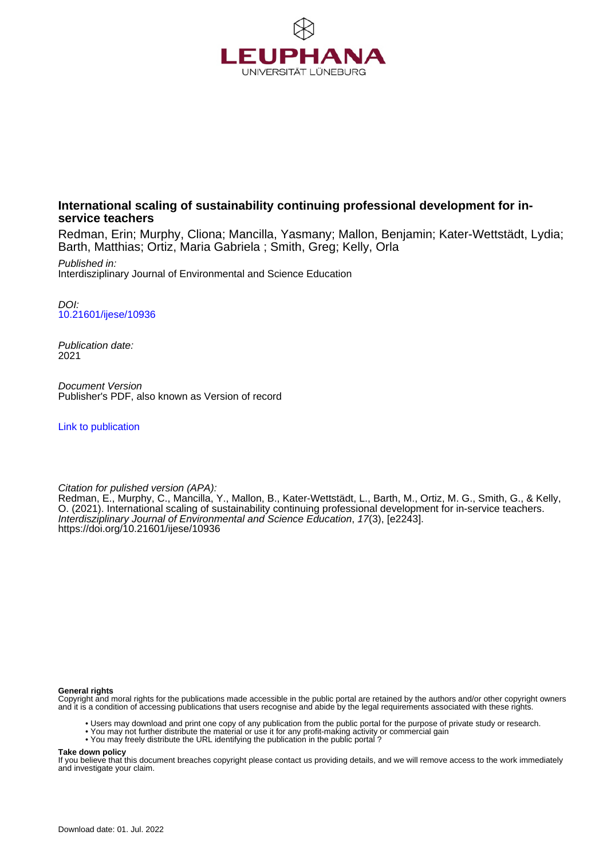

# **International scaling of sustainability continuing professional development for inservice teachers**

Redman, Erin; Murphy, Cliona; Mancilla, Yasmany; Mallon, Benjamin; Kater-Wettstädt, Lydia; Barth, Matthias; Ortiz, Maria Gabriela ; Smith, Greg; Kelly, Orla

Published in: Interdisziplinary Journal of Environmental and Science Education

DOI: [10.21601/ijese/10936](https://doi.org/10.21601/ijese/10936)

Publication date: 2021

Document Version Publisher's PDF, also known as Version of record

[Link to publication](http://fox.leuphana.de/portal/en/publications/international-scaling-of-sustainability-continuing-professional-development-for-inservice-teachers(d3bee4ab-c4ce-4681-83e9-7c5e04e4fba6).html)

#### Citation for pulished version (APA):

Redman, E., Murphy, C., Mancilla, Y., Mallon, B.[, Kater-Wettstädt, L.](http://fox.leuphana.de/portal/de/persons/lydia-katerwettstadt(46a2df97-685b-4cd7-9bc4-15af433f20a1).html)[, Barth, M.,](http://fox.leuphana.de/portal/de/persons/matthias-barth(7655a52d-fb09-4082-8408-83921f8464cf).html) Ortiz, M. G., Smith, G., & Kelly, O. (2021). [International scaling of sustainability continuing professional development for in-service teachers](http://fox.leuphana.de/portal/de/publications/international-scaling-of-sustainability-continuing-professional-development-for-inservice-teachers(d3bee4ab-c4ce-4681-83e9-7c5e04e4fba6).html). [Interdisziplinary Journal of Environmental and Science Education](http://fox.leuphana.de/portal/de/journals/interdisziplinary-journal-of-environmental-and-science-education(4595fbe1-f21a-4708-8daf-6f1b4a810278)/publications.html), 17(3), [e2243]. <https://doi.org/10.21601/ijese/10936>

#### **General rights**

Copyright and moral rights for the publications made accessible in the public portal are retained by the authors and/or other copyright owners and it is a condition of accessing publications that users recognise and abide by the legal requirements associated with these rights.

- Users may download and print one copy of any publication from the public portal for the purpose of private study or research.
- You may not further distribute the material or use it for any profit-making activity or commercial gain
	- You may not raistic distribute the URL identifying the publication in the public portal ?

#### **Take down policy**

If you believe that this document breaches copyright please contact us providing details, and we will remove access to the work immediately and investigate your claim.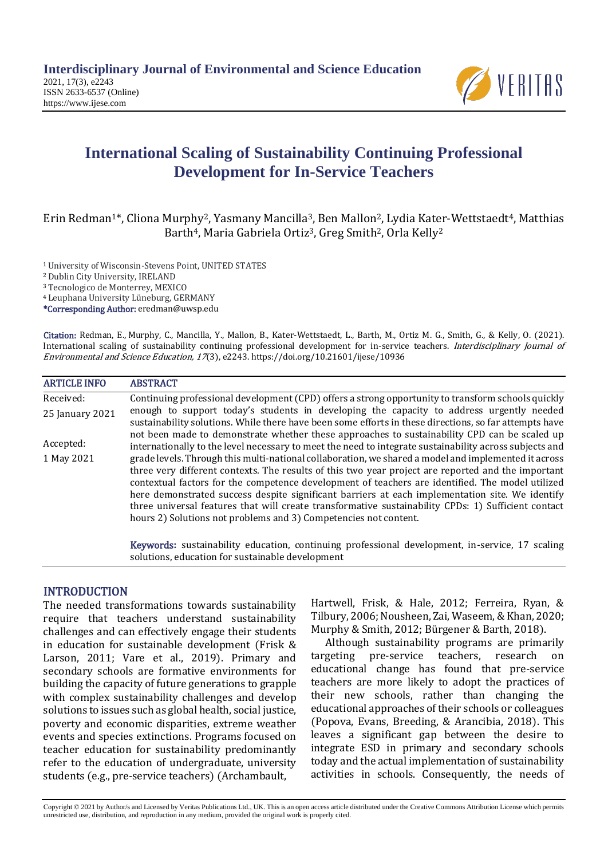

# **International Scaling of Sustainability Continuing Professional Development for In-Service Teachers**

# [Erin Redman](javascript:;)1\*, [Cliona Murphy](javascript:;)2, [Yasmany Mancilla](javascript:;)3, [Ben Mallon](javascript:;)2[, Lydia Kater-Wettstaedt](javascript:;)4, [Matthias](javascript:;)  [Barth](javascript:;)<sup>4</sup>, Maria [Gabriela Ortiz](javascript:;)<sup>3</sup>, [Greg Smith](javascript:;)<sup>2</sup>, [Orla Kelly](javascript:;)<sup>2</sup>

<sup>1</sup>University of Wisconsin-Stevens Point, UNITED STATES

<sup>2</sup> Dublin City University, IRELAND

<sup>3</sup> Tecnologico de Monterrey, MEXICO

<sup>4</sup> Leuphana University Lüneburg, GERMANY

\*Corresponding Author: eredman@uwsp.edu

Citation: [Redman,](javascript:;) E., [Murphy,](javascript:;) C., [Mancilla, Y](javascript:;)., [Mallon,](javascript:;) B., [Kater-Wettstaedt,](javascript:;) L., [Barth,](javascript:;) M., [Ortiz M](javascript:;). G., [Smith,](javascript:;) G., & [Kelly,](javascript:;) O. (2021). International scaling of sustainability continuing professional development for in-service teachers. Interdisciplinary Journal of Environmental and Science Education, <sup>17</sup>(3), e2243. https://doi.org/10.21601/ijese/10936

| <b>ARTICLE INFO</b> | <b>ABSTRACT</b>                                                                                                                                                                                                                                                                                                                                                                                                                                                                                                                                                                              |
|---------------------|----------------------------------------------------------------------------------------------------------------------------------------------------------------------------------------------------------------------------------------------------------------------------------------------------------------------------------------------------------------------------------------------------------------------------------------------------------------------------------------------------------------------------------------------------------------------------------------------|
| Received:           | Continuing professional development (CPD) offers a strong opportunity to transform schools quickly                                                                                                                                                                                                                                                                                                                                                                                                                                                                                           |
| 25 January 2021     | enough to support today's students in developing the capacity to address urgently needed<br>sustainability solutions. While there have been some efforts in these directions, so far attempts have                                                                                                                                                                                                                                                                                                                                                                                           |
| Accepted:           | not been made to demonstrate whether these approaches to sustainability CPD can be scaled up<br>internationally to the level necessary to meet the need to integrate sustainability across subjects and                                                                                                                                                                                                                                                                                                                                                                                      |
| 1 May 2021          | grade levels. Through this multi-national collaboration, we shared a model and implemented it across<br>three very different contexts. The results of this two year project are reported and the important<br>contextual factors for the competence development of teachers are identified. The model utilized<br>here demonstrated success despite significant barriers at each implementation site. We identify<br>three universal features that will create transformative sustainability CPDs: 1) Sufficient contact<br>hours 2) Solutions not problems and 3) Competencies not content. |

Keywords**:** sustainability education, continuing professional development, in-service, 17 scaling solutions, education for sustainable development

# **INTRODUCTION**

The needed transformations towards sustainability require that teachers understand sustainability challenges and can effectively engage their students in education for sustainable development (Frisk & Larson, 2011; Vare et al., 2019). Primary and secondary schools are formative environments for building the capacity of future generations to grapple with complex sustainability challenges and develop solutions to issues such as global health, social justice, poverty and economic disparities, extreme weather events and species extinctions. Programs focused on teacher education for sustainability predominantly refer to the education of undergraduate, university students (e.g., pre-service teachers) (Archambault,

Hartwell, Frisk, & Hale, 2012; Ferreira, Ryan, & Tilbury, 2006; Nousheen, Zai, Waseem, & Khan, 2020; Murphy & Smith, 2012; Bürgener & Barth, 2018).

Although sustainability programs are primarily targeting pre-service teachers, research on educational change has found that pre-service teachers are more likely to adopt the practices of their new schools, rather than changing the educational approaches of their schools or colleagues (Popova, Evans, Breeding, & Arancibia, 2018). This leaves a significant gap between the desire to integrate ESD in primary and secondary schools today and the actual implementation of sustainability activities in schools. Consequently, the needs of

Copyright © 2021 by Author/s and Licensed by Veritas Publications Ltd., UK. This is an open access article distributed under the Creative Commons Attribution License which permits unrestricted use, distribution, and reproduction in any medium, provided the original work is properly cited.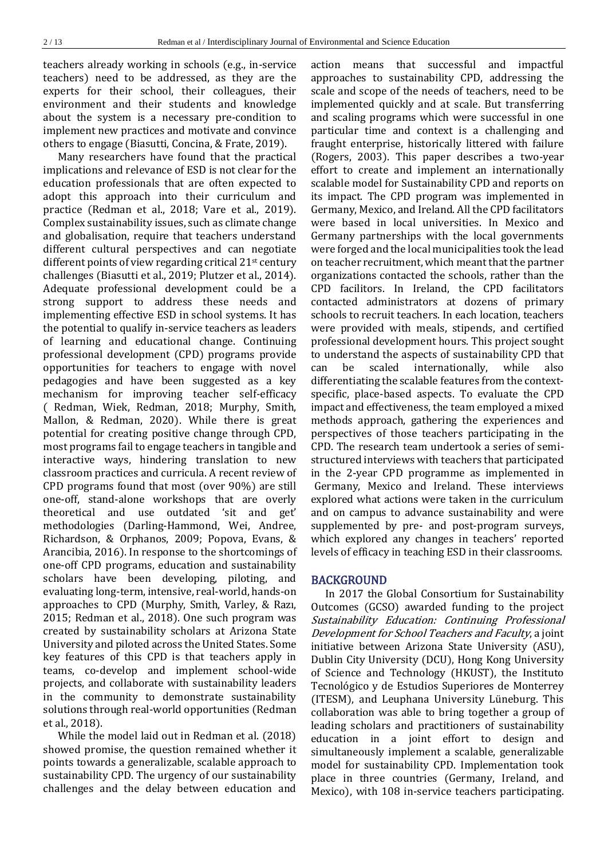teachers already working in schools (e.g., in-service teachers) need to be addressed, as they are the experts for their school, their colleagues, their environment and their students and knowledge about the system is a necessary pre-condition to implement new practices and motivate and convince others to engage (Biasutti, Concina, & Frate, 2019).

Many researchers have found that the practical implications and relevance of ESD is not clear for the education professionals that are often expected to adopt this approach into their curriculum and practice (Redman et al., 2018; Vare et al., 2019). Complex sustainability issues, such as climate change and globalisation, require that teachers understand different cultural perspectives and can negotiate different points of view regarding critical 21<sup>st</sup> century challenges (Biasutti et al., 2019; Plutzer et al., 2014). Adequate professional development could be a strong support to address these needs and implementing effective ESD in school systems. It has the potential to qualify in-service teachers as leaders of learning and educational change. Continuing professional development (CPD) programs provide opportunities for teachers to engage with novel pedagogies and have been suggested as a key mechanism for improving teacher self-efficacy ( Redman, Wiek, Redman, 2018; Murphy, Smith, Mallon, & Redman, 2020). While there is great potential for creating positive change through CPD, most programs fail to engage teachers in tangible and interactive ways, hindering translation to new classroom practices and curricula. A recent review of CPD programs found that most (over 90%) are still one-off, stand-alone workshops that are overly theoretical and use outdated 'sit and get' methodologies (Darling-Hammond, Wei, Andree, Richardson, & Orphanos, 2009; Popova, Evans, & Arancibia, 2016). In response to the shortcomings of one-off CPD programs, education and sustainability scholars have been developing, piloting, and evaluating long-term, intensive, real-world, hands-on approaches to CPD (Murphy, Smith, Varley, & Razı, 2015; Redman et al., 2018). One such program was created by sustainability scholars at Arizona State University and piloted across the United States. Some key features of this CPD is that teachers apply in teams, co-develop and implement school-wide projects, and collaborate with sustainability leaders in the community to demonstrate sustainability solutions through real-world opportunities (Redman et al., 2018).

While the model laid out in Redman et al. (2018) showed promise, the question remained whether it points towards a generalizable, scalable approach to sustainability CPD. The urgency of our sustainability challenges and the delay between education and

action means that successful and impactful approaches to sustainability CPD, addressing the scale and scope of the needs of teachers, need to be implemented quickly and at scale. But transferring and scaling programs which were successful in one particular time and context is a challenging and fraught enterprise, historically littered with failure (Rogers, 2003). This paper describes a two-year effort to create and implement an internationally scalable model for Sustainability CPD and reports on its impact. The CPD program was implemented in Germany, Mexico, and Ireland. All the CPD facilitators were based in local universities. In Mexico and Germany partnerships with the local governments were forged and the local municipalities took the lead on teacher recruitment, which meant that the partner organizations contacted the schools, rather than the CPD facilitors. In Ireland, the CPD facilitators contacted administrators at dozens of primary schools to recruit teachers. In each location, teachers were provided with meals, stipends, and certified professional development hours. This project sought to understand the aspects of sustainability CPD that can be scaled internationally, while also differentiating the scalable features from the contextspecific, place-based aspects. To evaluate the CPD impact and effectiveness, the team employed a mixed methods approach, gathering the experiences and perspectives of those teachers participating in the CPD. The research team undertook a series of semistructured interviews with teachers that participated in the 2-year CPD programme as implemented in Germany, Mexico and Ireland. These interviews explored what actions were taken in the curriculum and on campus to advance sustainability and were supplemented by pre- and post-program surveys, which explored any changes in teachers' reported levels of efficacy in teaching ESD in their classrooms.

#### BACKGROUND

In 2017 the Global Consortium for Sustainability Outcomes (GCSO) awarded funding to the project Sustainability Education: Continuing Professional Development for School Teachers and Faculty, a joint initiative between Arizona State University (ASU), Dublin City University (DCU), Hong Kong University of Science and Technology (HKUST), the Instituto Tecnológico y de Estudios Superiores de Monterrey (ITESM), and Leuphana University Lüneburg. This collaboration was able to bring together a group of leading scholars and practitioners of sustainability education in a joint effort to design and simultaneously implement a scalable, generalizable model for sustainability CPD. Implementation took place in three countries (Germany, Ireland, and Mexico), with 108 in-service teachers participating.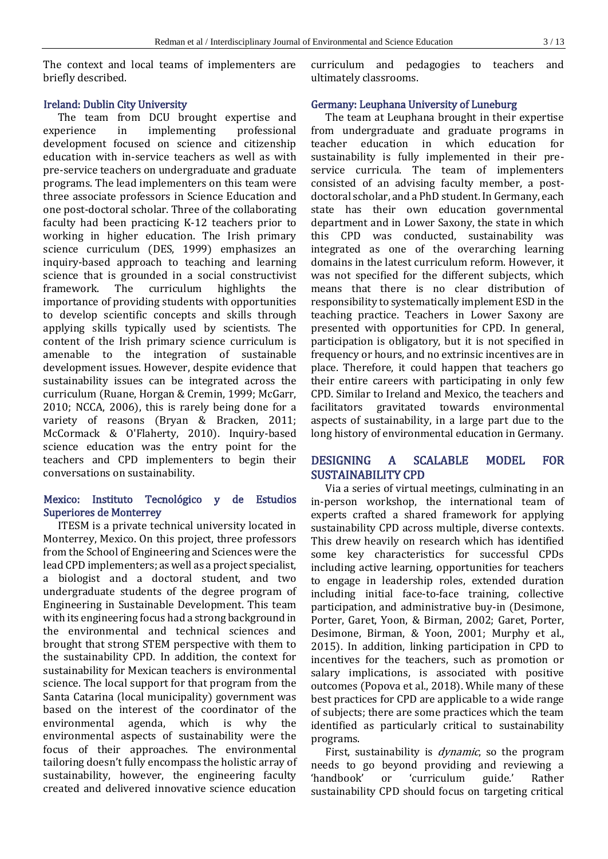The context and local teams of implementers are briefly described.

### Ireland: Dublin City University

The team from DCU brought expertise and experience in implementing professional development focused on science and citizenship education with in-service teachers as well as with pre-service teachers on undergraduate and graduate programs. The lead implementers on this team were three associate professors in Science Education and one post-doctoral scholar. Three of the collaborating faculty had been practicing K-12 teachers prior to working in higher education. The Irish primary science curriculum (DES, 1999) emphasizes an inquiry-based approach to teaching and learning science that is grounded in a social constructivist framework. The curriculum highlights the importance of providing students with opportunities to develop scientific concepts and skills through applying skills typically used by scientists. The content of the Irish primary science curriculum is amenable to the integration of sustainable development issues. However, despite evidence that sustainability issues can be integrated across the curriculum (Ruane, Horgan & Cremin, 1999; McGarr, 2010; NCCA, 2006), this is rarely being done for a variety of reasons (Bryan & Bracken, 2011; McCormack & O'Flaherty, 2010). Inquiry-based science education was the entry point for the teachers and CPD implementers to begin their conversations on sustainability.

# Mexico: Instituto Tecnológico y de Estudios Superiores de Monterrey

ITESM is a private technical university located in Monterrey, Mexico. On this project, three professors from the School of Engineering and Sciences were the lead CPD implementers; as well as a project specialist, a biologist and a doctoral student, and two undergraduate students of the degree program of Engineering in Sustainable Development. This team with its engineering focus had a strong background in the environmental and technical sciences and brought that strong STEM perspective with them to the sustainability CPD. In addition, the context for sustainability for Mexican teachers is environmental science. The local support for that program from the Santa Catarina (local municipality) government was based on the interest of the coordinator of the environmental agenda, which is why the environmental aspects of sustainability were the focus of their approaches. The environmental tailoring doesn't fully encompass the holistic array of sustainability, however, the engineering faculty created and delivered innovative science education

curriculum and pedagogies to teachers and ultimately classrooms.

### Germany: Leuphana University of Luneburg

The team at Leuphana brought in their expertise from undergraduate and graduate programs in teacher education in which education for sustainability is fully implemented in their preservice curricula. The team of implementers consisted of an advising faculty member, a postdoctoral scholar, and a PhD student. In Germany, each state has their own education governmental department and in Lower Saxony, the state in which this CPD was conducted, sustainability was integrated as one of the overarching learning domains in the latest curriculum reform. However, it was not specified for the different subjects, which means that there is no clear distribution of responsibility to systematically implement ESD in the teaching practice. Teachers in Lower Saxony are presented with opportunities for CPD. In general, participation is obligatory, but it is not specified in frequency or hours, and no extrinsic incentives are in place. Therefore, it could happen that teachers go their entire careers with participating in only few CPD. Similar to Ireland and Mexico, the teachers and facilitators gravitated towards environmental aspects of sustainability, in a large part due to the long history of environmental education in Germany.

# DESIGNING A SCALABLE MODEL FOR SUSTAINABILITY CPD

Via a series of virtual meetings, culminating in an in-person workshop, the international team of experts crafted a shared framework for applying sustainability CPD across multiple, diverse contexts. This drew heavily on research which has identified some key characteristics for successful CPDs including active learning, opportunities for teachers to engage in leadership roles, extended duration including initial face-to-face training, collective participation, and administrative buy-in (Desimone, Porter, Garet, Yoon, & Birman, 2002; Garet, Porter, Desimone, Birman, & Yoon, 2001; Murphy et al., 2015). In addition, linking participation in CPD to incentives for the teachers, such as promotion or salary implications, is associated with positive outcomes (Popova et al., 2018). While many of these best practices for CPD are applicable to a wide range of subjects; there are some practices which the team identified as particularly critical to sustainability programs.

First, sustainability is *dynamic*, so the program needs to go beyond providing and reviewing a 'handbook' or 'curriculum guide.' Rather sustainability CPD should focus on targeting critical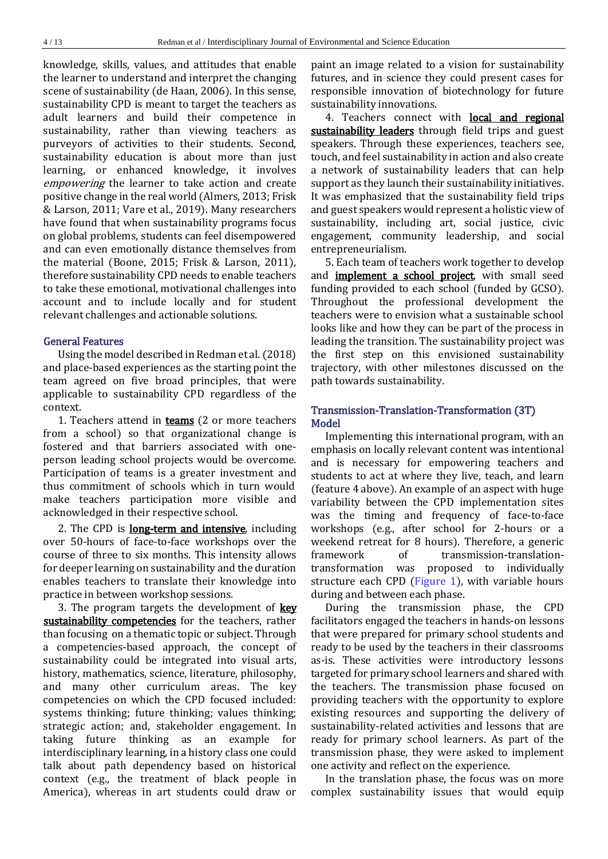knowledge, skills, values, and attitudes that enable the learner to understand and interpret the changing scene of sustainability (de Haan, 2006). In this sense, sustainability CPD is meant to target the teachers as adult learners and build their competence in sustainability, rather than viewing teachers as purveyors of activities to their students. Second, sustainability education is about more than just learning, or enhanced knowledge, it involves empowering the learner to take action and create positive change in the real world (Almers, 2013; Frisk & Larson, 2011; Vare et al., 2019). Many researchers have found that when sustainability programs focus on global problems, students can feel disempowered and can even emotionally distance themselves from the material (Boone, 2015; Frisk & Larson, 2011), therefore sustainability CPD needs to enable teachers to take these emotional, motivational challenges into account and to include locally and for student relevant challenges and actionable solutions.

### General Features

Using the model described in Redman et al. (2018) and place-based experiences as the starting point the team agreed on five broad principles, that were applicable to sustainability CPD regardless of the context.

1. Teachers attend in **teams** (2 or more teachers from a school) so that organizational change is fostered and that barriers associated with oneperson leading school projects would be overcome. Participation of teams is a greater investment and thus commitment of schools which in turn would make teachers participation more visible and acknowledged in their respective school.

2. The CPD is **long-term and intensive**, including over 50-hours of face-to-face workshops over the course of three to six months. This intensity allows for deeper learning on sustainability and the duration enables teachers to translate their knowledge into practice in between workshop sessions.

3. The program targets the development of  $key$ sustainability competencies for the teachers, rather than focusing on a thematic topic or subject. Through a competencies-based approach, the concept of sustainability could be integrated into visual arts, history, mathematics, science, literature, philosophy, and many other curriculum areas. The key competencies on which the CPD focused included: systems thinking; future thinking; values thinking; strategic action; and, stakeholder engagement. In taking future thinking as an example for interdisciplinary learning, in a history class one could talk about path dependency based on historical context (e.g., the treatment of black people in America), whereas in art students could draw or

paint an image related to a vision for sustainability futures, and in science they could present cases for responsible innovation of biotechnology for future sustainability innovations.

4. Teachers connect with **local and regional** sustainability leaders through field trips and guest speakers. Through these experiences, teachers see, touch, and feel sustainability in action and also create a network of sustainability leaders that can help support as they launch their sustainability initiatives. It was emphasized that the sustainability field trips and guest speakers would represent a holistic view of sustainability, including art, social justice, civic engagement, community leadership, and social entrepreneurialism.

5. Each team of teachers work together to develop and **implement a school project**, with small seed funding provided to each school (funded by GCSO). Throughout the professional development the teachers were to envision what a sustainable school looks like and how they can be part of the process in leading the transition. The sustainability project was the first step on this envisioned sustainability trajectory, with other milestones discussed on the path towards sustainability.

## Transmission-Translation-Transformation (3T) Model

Implementing this international program, with an emphasis on locally relevant content was intentional and is necessary for empowering teachers and students to act at where they live, teach, and learn (feature 4 above). An example of an aspect with huge variability between the CPD implementation sites was the timing and frequency of face-to-face workshops (e.g., after school for 2-hours or a weekend retreat for 8 hours). Therefore, a generic framework of transmission-translationtransformation was proposed to individually structure each CPD (Figure 1), with variable hours during and between each phase.

During the transmission phase, the CPD facilitators engaged the teachers in hands-on lessons that were prepared for primary school students and ready to be used by the teachers in their classrooms as-is. These activities were introductory lessons targeted for primary school learners and shared with the teachers. The transmission phase focused on providing teachers with the opportunity to explore existing resources and supporting the delivery of sustainability-related activities and lessons that are ready for primary school learners. As part of the transmission phase, they were asked to implement one activity and reflect on the experience.

In the translation phase, the focus was on more complex sustainability issues that would equip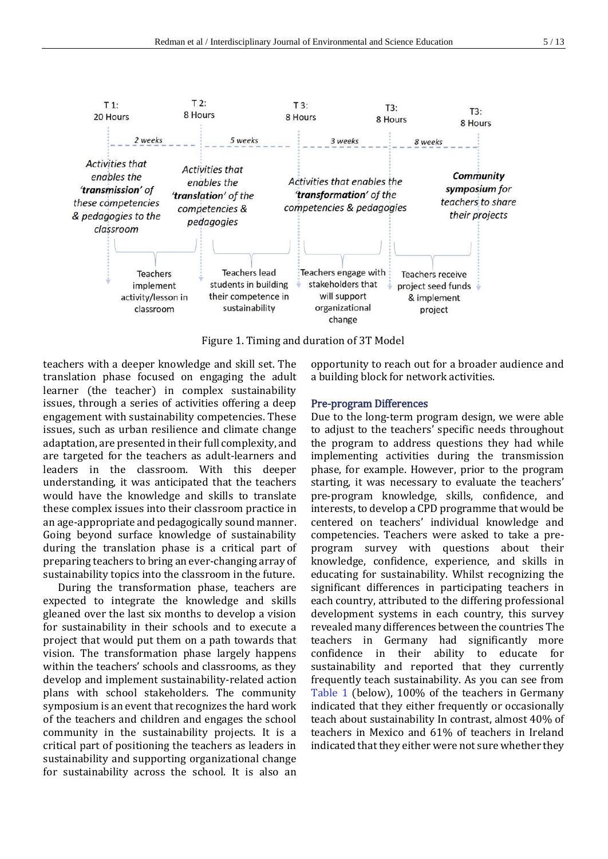

Figure 1. Timing and duration of 3T Model

teachers with a deeper knowledge and skill set. The translation phase focused on engaging the adult learner (the teacher) in complex sustainability issues, through a series of activities offering a deep engagement with sustainability competencies. These issues, such as urban resilience and climate change adaptation, are presented in their full complexity, and are targeted for the teachers as adult-learners and leaders in the classroom. With this deeper understanding, it was anticipated that the teachers would have the knowledge and skills to translate these complex issues into their classroom practice in an age-appropriate and pedagogically sound manner. Going beyond surface knowledge of sustainability during the translation phase is a critical part of preparing teachers to bring an ever-changing array of sustainability topics into the classroom in the future.

During the transformation phase, teachers are expected to integrate the knowledge and skills gleaned over the last six months to develop a vision for sustainability in their schools and to execute a project that would put them on a path towards that vision. The transformation phase largely happens within the teachers' schools and classrooms, as they develop and implement sustainability-related action plans with school stakeholders. The community symposium is an event that recognizes the hard work of the teachers and children and engages the school community in the sustainability projects. It is a critical part of positioning the teachers as leaders in sustainability and supporting organizational change for sustainability across the school. It is also an

opportunity to reach out for a broader audience and a building block for network activities.

#### Pre-program Differences

Due to the long-term program design, we were able to adjust to the teachers' specific needs throughout the program to address questions they had while implementing activities during the transmission phase, for example. However, prior to the program starting, it was necessary to evaluate the teachers' pre-program knowledge, skills, confidence, and interests, to develop a CPD programme that would be centered on teachers' individual knowledge and competencies. Teachers were asked to take a preprogram survey with questions about their knowledge, confidence, experience, and skills in educating for sustainability. Whilst recognizing the significant differences in participating teachers in each country, attributed to the differing professional development systems in each country, this survey revealed many differences between the countries The teachers in Germany had significantly more confidence in their ability to educate for sustainability and reported that they currently frequently teach sustainability. As you can see from Table 1 (below), 100% of the teachers in Germany indicated that they either frequently or occasionally teach about sustainability In contrast, almost 40% of teachers in Mexico and 61% of teachers in Ireland indicated that they either were not sure whether they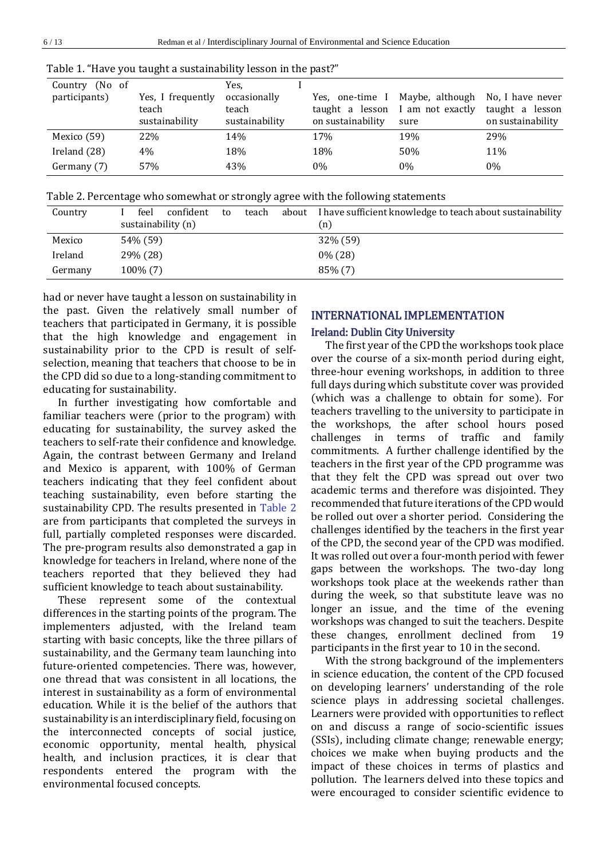| Country (No of |                                              | Yes.                                    |                                                    |                                                             |                                                          |
|----------------|----------------------------------------------|-----------------------------------------|----------------------------------------------------|-------------------------------------------------------------|----------------------------------------------------------|
| participants)  | Yes, I frequently<br>teach<br>sustainability | occasionally<br>teach<br>sustainability | Yes, one-time<br>$\mathbf{I}$<br>on sustainability | Maybe, although<br>taught a lesson I am not exactly<br>sure | No, I have never<br>taught a lesson<br>on sustainability |
| Mexico (59)    | 22%                                          | 14%                                     | 17%                                                | 19%                                                         | 29%                                                      |
| Ireland (28)   | 4%                                           | 18%                                     | 18%                                                | 50%                                                         | 11%                                                      |
| Germany (7)    | 57%                                          | 43%                                     | 0%                                                 | $0\%$                                                       | $0\%$                                                    |

Table 1. "Have you taught a sustainability lesson in the past?"

Table 2. Percentage who somewhat or strongly agree with the following statements

| Country | feel<br>confident  | to | teach<br>about | I have sufficient knowledge to teach about sustainability |
|---------|--------------------|----|----------------|-----------------------------------------------------------|
|         | sustainability (n) |    |                | (n)                                                       |
| Mexico  | 54\% (59)          |    |                | 32% (59)                                                  |
| Ireland | 29% (28)           |    |                | $0\%$ (28)                                                |
| Germany | $100\%$ (7)        |    |                | $85\%$ (7)                                                |

had or never have taught a lesson on sustainability in the past. Given the relatively small number of teachers that participated in Germany, it is possible that the high knowledge and engagement in sustainability prior to the CPD is result of selfselection, meaning that teachers that choose to be in the CPD did so due to a long-standing commitment to educating for sustainability.

In further investigating how comfortable and familiar teachers were (prior to the program) with educating for sustainability, the survey asked the teachers to self-rate their confidence and knowledge. Again, the contrast between Germany and Ireland and Mexico is apparent, with 100% of German teachers indicating that they feel confident about teaching sustainability, even before starting the sustainability CPD. The results presented in Table 2 are from participants that completed the surveys in full, partially completed responses were discarded. The pre-program results also demonstrated a gap in knowledge for teachers in Ireland, where none of the teachers reported that they believed they had sufficient knowledge to teach about sustainability.

These represent some of the contextual differences in the starting points of the program. The implementers adjusted, with the Ireland team starting with basic concepts, like the three pillars of sustainability, and the Germany team launching into future-oriented competencies. There was, however, one thread that was consistent in all locations, the interest in sustainability as a form of environmental education. While it is the belief of the authors that sustainability is an interdisciplinary field, focusing on the interconnected concepts of social justice, economic opportunity, mental health, physical health, and inclusion practices, it is clear that respondents entered the program with the environmental focused concepts.

# INTERNATIONAL IMPLEMENTATION

### Ireland: Dublin City University

The first year of the CPD the workshops took place over the course of a six-month period during eight, three-hour evening workshops, in addition to three full days during which substitute cover was provided (which was a challenge to obtain for some). For teachers travelling to the university to participate in the workshops, the after school hours posed challenges in terms of traffic and family commitments. A further challenge identified by the teachers in the first year of the CPD programme was that they felt the CPD was spread out over two academic terms and therefore was disjointed. They recommended that future iterations of the CPD would be rolled out over a shorter period. Considering the challenges identified by the teachers in the first year of the CPD, the second year of the CPD was modified. It was rolled out over a four-month period with fewer gaps between the workshops. The two-day long workshops took place at the weekends rather than during the week, so that substitute leave was no longer an issue, and the time of the evening workshops was changed to suit the teachers. Despite these changes, enrollment declined from 19 participants in the first year to 10 in the second.

With the strong background of the implementers in science education, the content of the CPD focused on developing learners' understanding of the role science plays in addressing societal challenges. Learners were provided with opportunities to reflect on and discuss a range of socio-scientific issues (SSIs), including climate change; renewable energy; choices we make when buying products and the impact of these choices in terms of plastics and pollution. The learners delved into these topics and were encouraged to consider scientific evidence to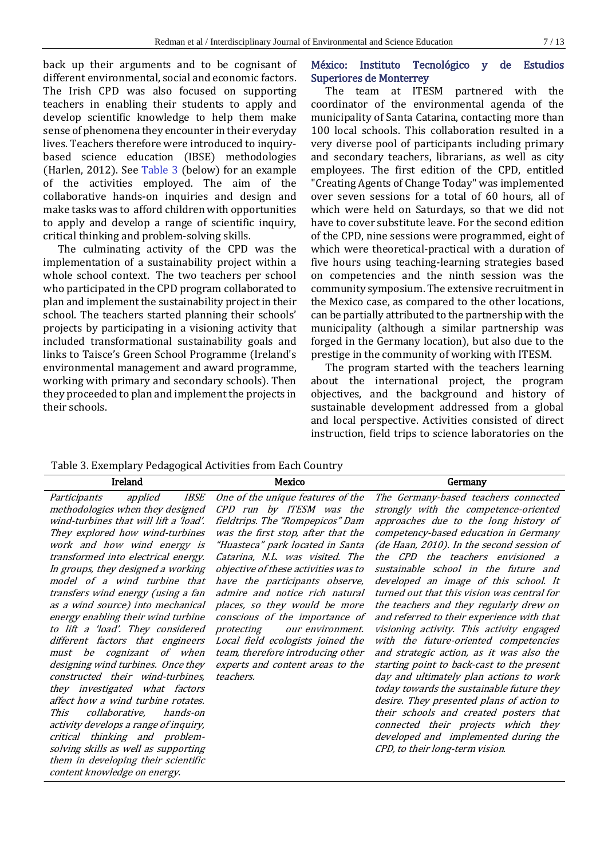back up their arguments and to be cognisant of different environmental, social and economic factors. The Irish CPD was also focused on supporting teachers in enabling their students to apply and develop scientific knowledge to help them make sense of phenomena they encounter in their everyday lives. Teachers therefore were introduced to inquirybased science education (IBSE) methodologies (Harlen, 2012). See Table 3 (below) for an example of the activities employed. The aim of the collaborative hands-on inquiries and design and make tasks was to afford children with opportunities to apply and develop a range of scientific inquiry, critical thinking and problem-solving skills.

The culminating activity of the CPD was the implementation of a sustainability project within a whole school context. The two teachers per school who participated in the CPD program collaborated to plan and implement the sustainability project in their school. The teachers started planning their schools' projects by participating in a visioning activity that included transformational sustainability goals and links to Taisce's Green School Programme (Ireland's environmental management and award programme, working with primary and secondary schools). Then they proceeded to plan and implement the projects in their schools.

# México: Instituto Tecnológico y de Estudios Superiores de Monterrey

The team at ITESM partnered with the coordinator of the environmental agenda of the municipality of Santa Catarina, contacting more than 100 local schools. This collaboration resulted in a very diverse pool of participants including primary and secondary teachers, librarians, as well as city employees. The first edition of the CPD, entitled "Creating Agents of Change Today" was implemented over seven sessions for a total of 60 hours, all of which were held on Saturdays, so that we did not have to cover substitute leave. For the second edition of the CPD, nine sessions were programmed, eight of which were theoretical-practical with a duration of five hours using teaching-learning strategies based on competencies and the ninth session was the community symposium. The extensive recruitment in the Mexico case, as compared to the other locations, can be partially attributed to the partnership with the municipality (although a similar partnership was forged in the Germany location), but also due to the prestige in the community of working with ITESM.

The program started with the teachers learning about the international project, the program objectives, and the background and history of sustainable development addressed from a global and local perspective. Activities consisted of direct instruction, field trips to science laboratories on the

|  |  | Table 3. Exemplary Pedagogical Activities from Each Country |  |  |  |  |
|--|--|-------------------------------------------------------------|--|--|--|--|
|--|--|-------------------------------------------------------------|--|--|--|--|

| Ireland                                                                                                                                                                                                                                                                                                                                                                                                                                                                                                                                                                                                                                                                                                                                                                                                                                                                                                                                 | Mexico                                                                                                                                                                                                                                                                                                                                                                                                                                                                                                                          | Germany                                                                                                                                                                                                                                                                                                                                                                                                                                                                                                                                                                                                                                                                                                                                                                                                                                                                                                                                                     |
|-----------------------------------------------------------------------------------------------------------------------------------------------------------------------------------------------------------------------------------------------------------------------------------------------------------------------------------------------------------------------------------------------------------------------------------------------------------------------------------------------------------------------------------------------------------------------------------------------------------------------------------------------------------------------------------------------------------------------------------------------------------------------------------------------------------------------------------------------------------------------------------------------------------------------------------------|---------------------------------------------------------------------------------------------------------------------------------------------------------------------------------------------------------------------------------------------------------------------------------------------------------------------------------------------------------------------------------------------------------------------------------------------------------------------------------------------------------------------------------|-------------------------------------------------------------------------------------------------------------------------------------------------------------------------------------------------------------------------------------------------------------------------------------------------------------------------------------------------------------------------------------------------------------------------------------------------------------------------------------------------------------------------------------------------------------------------------------------------------------------------------------------------------------------------------------------------------------------------------------------------------------------------------------------------------------------------------------------------------------------------------------------------------------------------------------------------------------|
| applied<br><i>IBSE</i><br>Participants<br>methodologies when they designed<br>wind-turbines that will lift a 'load'.<br>They explored how wind-turbines<br>work and how wind energy is<br>transformed into electrical energy.<br>In groups, they designed a working<br>model of a wind turbine that<br>transfers wind energy (using a fan<br>as a wind source) into mechanical<br>energy enabling their wind turbine<br>to lift a 'load'. They considered<br>protecting<br>different factors that engineers<br>must be cognizant of when<br>designing wind turbines. Once they<br>constructed their wind-turbines,<br>teachers.<br>they investigated what factors<br>affect how a wind turbine rotates.<br>collaborative,<br>hands-on<br>This<br>activity develops a range of inquiry,<br>critical thinking and problem-<br>solving skills as well as supporting<br>them in developing their scientific<br>content knowledge on energy. | One of the unique features of the<br>CPD run by ITESM was the<br>fieldtrips. The "Rompepicos" Dam<br>was the first stop, after that the<br>"Huasteca" park located in Santa<br>Catarina, N.L. was visited. The<br>objective of these activities was to<br>have the participants observe,<br>admire and notice rich natural<br>places, so they would be more<br>conscious of the importance of<br>our environment.<br>Local field ecologists joined the<br>team, therefore introducing other<br>experts and content areas to the | The Germany-based teachers connected<br>strongly with the competence-oriented<br>approaches due to the long history of<br>competency-based education in Germany<br>(de Haan, 2010). In the second session of<br>the CPD the teachers envisioned a<br>sustainable school in the future and<br>developed an image of this school. It<br>turned out that this vision was central for<br>the teachers and they regularly drew on<br>and referred to their experience with that<br>visioning activity. This activity engaged<br>with the future-oriented competencies<br>and strategic action, as it was also the<br>starting point to back-cast to the present<br>day and ultimately plan actions to work<br>today towards the sustainable future they<br>desire. They presented plans of action to<br>their schools and created posters that<br>connected their projects which they<br>developed and implemented during the<br>CPD, to their long-term vision. |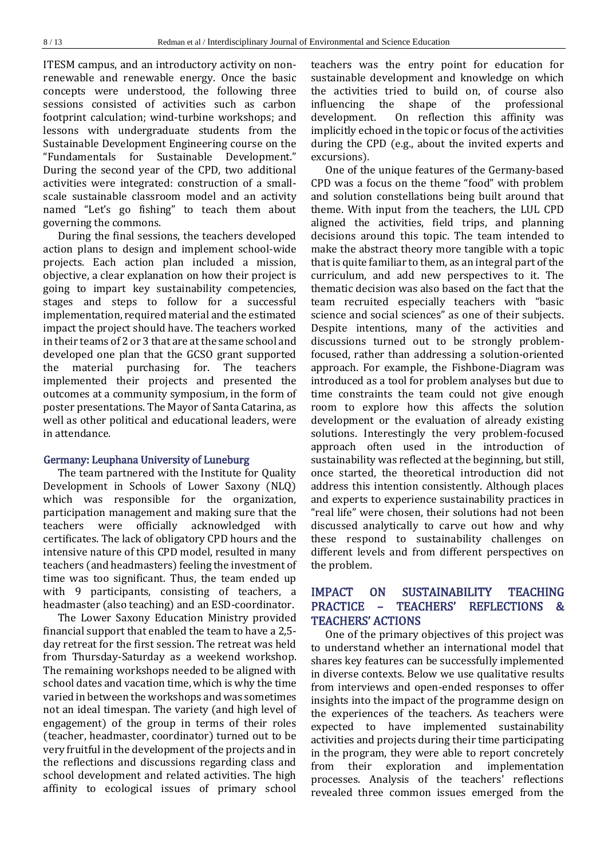ITESM campus, and an introductory activity on nonrenewable and renewable energy. Once the basic concepts were understood, the following three sessions consisted of activities such as carbon footprint calculation; wind-turbine workshops; and lessons with undergraduate students from the Sustainable Development Engineering course on the "Fundamentals for Sustainable Development." During the second year of the CPD, two additional activities were integrated: construction of a smallscale sustainable classroom model and an activity named "Let's go fishing" to teach them about governing the commons.

During the final sessions, the teachers developed action plans to design and implement school-wide projects. Each action plan included a mission, objective, a clear explanation on how their project is going to impart key sustainability competencies, stages and steps to follow for a successful implementation, required material and the estimated impact the project should have. The teachers worked in their teams of 2 or 3 that are at the same school and developed one plan that the GCSO grant supported the material purchasing for. The teachers implemented their projects and presented the outcomes at a community symposium, in the form of poster presentations. The Mayor of Santa Catarina, as well as other political and educational leaders, were in attendance.

#### Germany: Leuphana University of Luneburg

The team partnered with the Institute for Quality Development in Schools of Lower Saxony (NLQ) which was responsible for the organization, participation management and making sure that the teachers were officially acknowledged with certificates. The lack of obligatory CPD hours and the intensive nature of this CPD model, resulted in many teachers (and headmasters) feeling the investment of time was too significant. Thus, the team ended up with 9 participants, consisting of teachers, a headmaster (also teaching) and an ESD-coordinator.

The Lower Saxony Education Ministry provided financial support that enabled the team to have a 2,5 day retreat for the first session. The retreat was held from Thursday-Saturday as a weekend workshop. The remaining workshops needed to be aligned with school dates and vacation time, which is why the time varied in between the workshops and was sometimes not an ideal timespan. The variety (and high level of engagement) of the group in terms of their roles (teacher, headmaster, coordinator) turned out to be very fruitful in the development of the projects and in the reflections and discussions regarding class and school development and related activities. The high affinity to ecological issues of primary school

teachers was the entry point for education for sustainable development and knowledge on which the activities tried to build on, of course also influencing the shape of the professional development. On reflection this affinity was implicitly echoed in the topic or focus of the activities during the CPD (e.g., about the invited experts and excursions).

One of the unique features of the Germany-based CPD was a focus on the theme "food" with problem and solution constellations being built around that theme. With input from the teachers, the LUL CPD aligned the activities, field trips, and planning decisions around this topic. The team intended to make the abstract theory more tangible with a topic that is quite familiar to them, as an integral part of the curriculum, and add new perspectives to it. The thematic decision was also based on the fact that the team recruited especially teachers with "basic science and social sciences" as one of their subjects. Despite intentions, many of the activities and discussions turned out to be strongly problemfocused, rather than addressing a solution-oriented approach. For example, the Fishbone-Diagram was introduced as a tool for problem analyses but due to time constraints the team could not give enough room to explore how this affects the solution development or the evaluation of already existing solutions. Interestingly the very problem-focused approach often used in the introduction of sustainability was reflected at the beginning, but still, once started, the theoretical introduction did not address this intention consistently. Although places and experts to experience sustainability practices in "real life" were chosen, their solutions had not been discussed analytically to carve out how and why these respond to sustainability challenges on different levels and from different perspectives on the problem.

# IMPACT ON SUSTAINABILITY TEACHING PRACTICE – TEACHERS' REFLECTIONS & TEACHERS' ACTIONS

One of the primary objectives of this project was to understand whether an international model that shares key features can be successfully implemented in diverse contexts. Below we use qualitative results from interviews and open-ended responses to offer insights into the impact of the programme design on the experiences of the teachers. As teachers were expected to have implemented sustainability activities and projects during their time participating in the program, they were able to report concretely from their exploration and implementation processes. Analysis of the teachers' reflections revealed three common issues emerged from the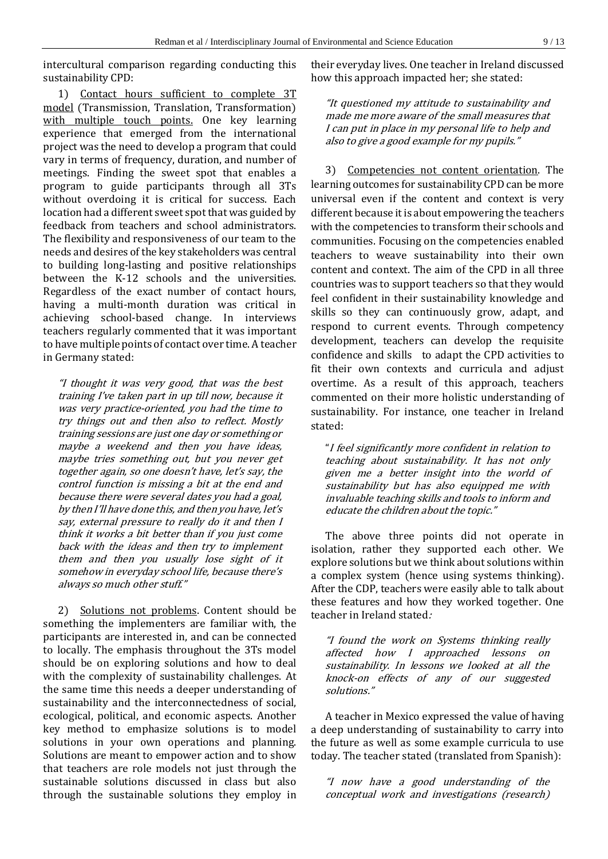intercultural comparison regarding conducting this sustainability CPD:

1) Contact hours sufficient to complete 3T model (Transmission, Translation, Transformation) with multiple touch points. One key learning experience that emerged from the international project was the need to develop a program that could vary in terms of frequency, duration, and number of meetings. Finding the sweet spot that enables a program to guide participants through all 3Ts without overdoing it is critical for success. Each location had a different sweet spot that was guided by feedback from teachers and school administrators. The flexibility and responsiveness of our team to the needs and desires of the key stakeholders was central to building long-lasting and positive relationships between the K-12 schools and the universities. Regardless of the exact number of contact hours, having a multi-month duration was critical in achieving school-based change. In interviews teachers regularly commented that it was important to have multiple points of contact over time. A teacher in Germany stated:

"I thought it was very good, that was the best training I've taken part in up till now, because it was very practice-oriented, you had the time to try things out and then also to reflect. Mostly training sessions are just one day or something or maybe a weekend and then you have ideas, maybe tries something out, but you never get together again, so one doesn't have, let's say, the control function is missing a bit at the end and because there were several dates you had a goal, by then I'll have done this, and then you have, let's say, external pressure to really do it and then I think it works a bit better than if you just come back with the ideas and then try to implement them and then you usually lose sight of it somehow in everyday school life, because there's always so much other stuff."

2) Solutions not problems. Content should be something the implementers are familiar with, the participants are interested in, and can be connected to locally. The emphasis throughout the 3Ts model should be on exploring solutions and how to deal with the complexity of sustainability challenges. At the same time this needs a deeper understanding of sustainability and the interconnectedness of social, ecological, political, and economic aspects. Another key method to emphasize solutions is to model solutions in your own operations and planning. Solutions are meant to empower action and to show that teachers are role models not just through the sustainable solutions discussed in class but also through the sustainable solutions they employ in

their everyday lives. One teacher in Ireland discussed how this approach impacted her; she stated:

"It questioned my attitude to sustainability and made me more aware of the small measures that I can put in place in my personal life to help and also to give a good example for my pupils."

3) Competencies not content orientation. The learning outcomes for sustainability CPD can be more universal even if the content and context is very different because it is about empowering the teachers with the competencies to transform their schools and communities. Focusing on the competencies enabled teachers to weave sustainability into their own content and context. The aim of the CPD in all three countries was to support teachers so that they would feel confident in their sustainability knowledge and skills so they can continuously grow, adapt, and respond to current events. Through competency development, teachers can develop the requisite confidence and skills to adapt the CPD activities to fit their own contexts and curricula and adjust overtime. As a result of this approach, teachers commented on their more holistic understanding of sustainability. For instance, one teacher in Ireland stated:

"I feel significantly more confident in relation to teaching about sustainability. It has not only given me a better insight into the world of sustainability but has also equipped me with invaluable teaching skills and tools to inform and educate the children about the topic."

The above three points did not operate in isolation, rather they supported each other. We explore solutions but we think about solutions within a complex system (hence using systems thinking). After the CDP, teachers were easily able to talk about these features and how they worked together. One teacher in Ireland stated:

"I found the work on Systems thinking really affected how I approached lessons on sustainability. In lessons we looked at all the knock-on effects of any of our suggested solutions."

A teacher in Mexico expressed the value of having a deep understanding of sustainability to carry into the future as well as some example curricula to use today. The teacher stated (translated from Spanish):

"I now have a good understanding of the conceptual work and investigations (research)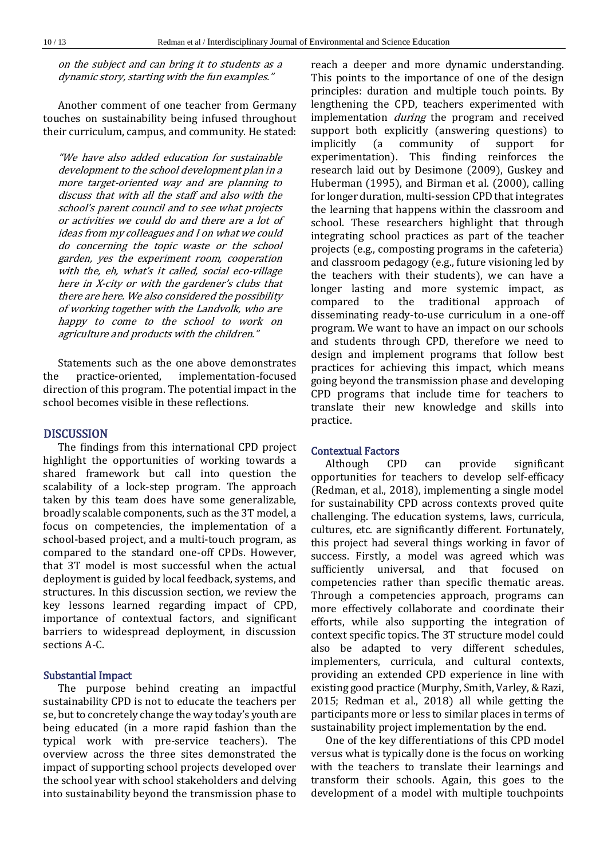on the subject and can bring it to students as a dynamic story, starting with the fun examples."

Another comment of one teacher from Germany touches on sustainability being infused throughout their curriculum, campus, and community. He stated:

"We have also added education for sustainable development to the school development plan in a more target-oriented way and are planning to discuss that with all the staff and also with the school's parent council and to see what projects or activities we could do and there are a lot of ideas from my colleagues and I on what we could do concerning the topic waste or the school garden, yes the experiment room, cooperation with the, eh, what's it called, social eco-village here in X-city or with the gardener's clubs that there are here. We also considered the possibility of working together with the Landvolk, who are happy to come to the school to work on agriculture and products with the children."

Statements such as the one above demonstrates the practice-oriented, implementation-focused direction of this program. The potential impact in the school becomes visible in these reflections.

### DISCUSSION

The findings from this international CPD project highlight the opportunities of working towards a shared framework but call into question the scalability of a lock-step program. The approach taken by this team does have some generalizable, broadly scalable components, such as the 3T model, a focus on competencies, the implementation of a school-based project, and a multi-touch program, as compared to the standard one-off CPDs. However, that 3T model is most successful when the actual deployment is guided by local feedback, systems, and structures. In this discussion section, we review the key lessons learned regarding impact of CPD, importance of contextual factors, and significant barriers to widespread deployment, in discussion sections A-C.

### Substantial Impact

The purpose behind creating an impactful sustainability CPD is not to educate the teachers per se, but to concretely change the way today's youth are being educated (in a more rapid fashion than the typical work with pre-service teachers). The overview across the three sites demonstrated the impact of supporting school projects developed over the school year with school stakeholders and delving into sustainability beyond the transmission phase to

reach a deeper and more dynamic understanding. This points to the importance of one of the design principles: duration and multiple touch points. By lengthening the CPD, teachers experimented with implementation *during* the program and received support both explicitly (answering questions) to implicitly (a community of support for experimentation). This finding reinforces the research laid out by Desimone (2009), Guskey and Huberman (1995), and Birman et al. (2000), calling for longer duration, multi-session CPD that integrates the learning that happens within the classroom and school. These researchers highlight that through integrating school practices as part of the teacher projects (e.g., composting programs in the cafeteria) and classroom pedagogy (e.g., future visioning led by the teachers with their students), we can have a longer lasting and more systemic impact, as compared to the traditional approach of disseminating ready-to-use curriculum in a one-off program. We want to have an impact on our schools and students through CPD, therefore we need to design and implement programs that follow best practices for achieving this impact, which means going beyond the transmission phase and developing CPD programs that include time for teachers to translate their new knowledge and skills into practice.

### Contextual Factors

Although CPD can provide significant opportunities for teachers to develop self-efficacy (Redman, et al., 2018), implementing a single model for sustainability CPD across contexts proved quite challenging. The education systems, laws, curricula, cultures, etc. are significantly different. Fortunately, this project had several things working in favor of success. Firstly, a model was agreed which was sufficiently universal, and that focused competencies rather than specific thematic areas. Through a competencies approach, programs can more effectively collaborate and coordinate their efforts, while also supporting the integration of context specific topics. The 3T structure model could also be adapted to very different schedules, implementers, curricula, and cultural contexts, providing an extended CPD experience in line with existing good practice (Murphy, Smith, Varley, & Razi, 2015; Redman et al., 2018) all while getting the participants more or less to similar places in terms of sustainability project implementation by the end.

One of the key differentiations of this CPD model versus what is typically done is the focus on working with the teachers to translate their learnings and transform their schools. Again, this goes to the development of a model with multiple touchpoints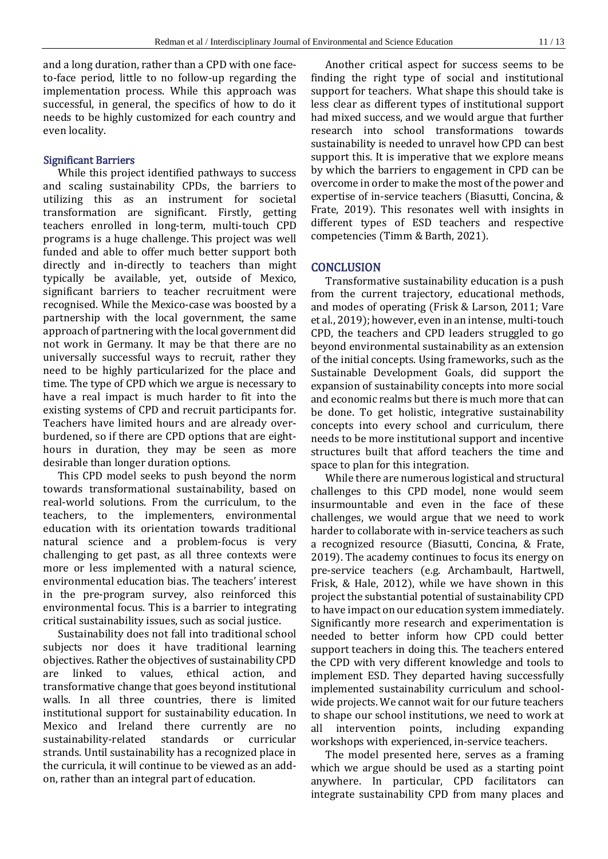and a long duration, rather than a CPD with one faceto-face period, little to no follow-up regarding the implementation process. While this approach was successful, in general, the specifics of how to do it needs to be highly customized for each country and even locality.

### Significant Barriers

While this project identified pathways to success and scaling sustainability CPDs, the barriers to utilizing this as an instrument for societal transformation are significant. Firstly, getting teachers enrolled in long-term, multi-touch CPD programs is a huge challenge. This project was well funded and able to offer much better support both directly and in-directly to teachers than might typically be available, yet, outside of Mexico, significant barriers to teacher recruitment were recognised. While the Mexico-case was boosted by a partnership with the local government, the same approach of partnering with the local government did not work in Germany. It may be that there are no universally successful ways to recruit, rather they need to be highly particularized for the place and time. The type of CPD which we argue is necessary to have a real impact is much harder to fit into the existing systems of CPD and recruit participants for. Teachers have limited hours and are already overburdened, so if there are CPD options that are eighthours in duration, they may be seen as more desirable than longer duration options.

This CPD model seeks to push beyond the norm towards transformational sustainability, based on real-world solutions. From the curriculum, to the teachers, to the implementers, environmental education with its orientation towards traditional natural science and a problem-focus is very challenging to get past, as all three contexts were more or less implemented with a natural science, environmental education bias. The teachers' interest in the pre-program survey, also reinforced this environmental focus. This is a barrier to integrating critical sustainability issues, such as social justice.

Sustainability does not fall into traditional school subjects nor does it have traditional learning objectives. Rather the objectives of sustainability CPD are linked to values, ethical action, and transformative change that goes beyond institutional walls. In all three countries, there is limited institutional support for sustainability education. In Mexico and Ireland there currently are no sustainability-related standards or curricular strands. Until sustainability has a recognized place in the curricula, it will continue to be viewed as an addon, rather than an integral part of education.

Another critical aspect for success seems to be finding the right type of social and institutional support for teachers. What shape this should take is less clear as different types of institutional support had mixed success, and we would argue that further research into school transformations towards sustainability is needed to unravel how CPD can best support this. It is imperative that we explore means by which the barriers to engagement in CPD can be overcome in order to make the most of the power and expertise of in-service teachers (Biasutti, Concina, & Frate, 2019). This resonates well with insights in different types of ESD teachers and respective competencies (Timm & Barth, 2021).

### **CONCLUSION**

Transformative sustainability education is a push from the current trajectory, educational methods, and modes of operating (Frisk & Larson, 2011; Vare et al., 2019); however, even in an intense, multi-touch CPD, the teachers and CPD leaders struggled to go beyond environmental sustainability as an extension of the initial concepts. Using frameworks, such as the Sustainable Development Goals, did support the expansion of sustainability concepts into more social and economic realms but there is much more that can be done. To get holistic, integrative sustainability concepts into every school and curriculum, there needs to be more institutional support and incentive structures built that afford teachers the time and space to plan for this integration.

While there are numerous logistical and structural challenges to this CPD model, none would seem insurmountable and even in the face of these challenges, we would argue that we need to work harder to collaborate with in-service teachers as such a recognized resource (Biasutti, Concina, & Frate, 2019). The academy continues to focus its energy on pre-service teachers (e.g. Archambault, Hartwell, Frisk, & Hale, 2012), while we have shown in this project the substantial potential of sustainability CPD to have impact on our education system immediately. Significantly more research and experimentation is needed to better inform how CPD could better support teachers in doing this. The teachers entered the CPD with very different knowledge and tools to implement ESD. They departed having successfully implemented sustainability curriculum and schoolwide projects. We cannot wait for our future teachers to shape our school institutions, we need to work at all intervention points, including expanding workshops with experienced, in-service teachers.

The model presented here, serves as a framing which we argue should be used as a starting point anywhere. In particular, CPD facilitators can integrate sustainability CPD from many places and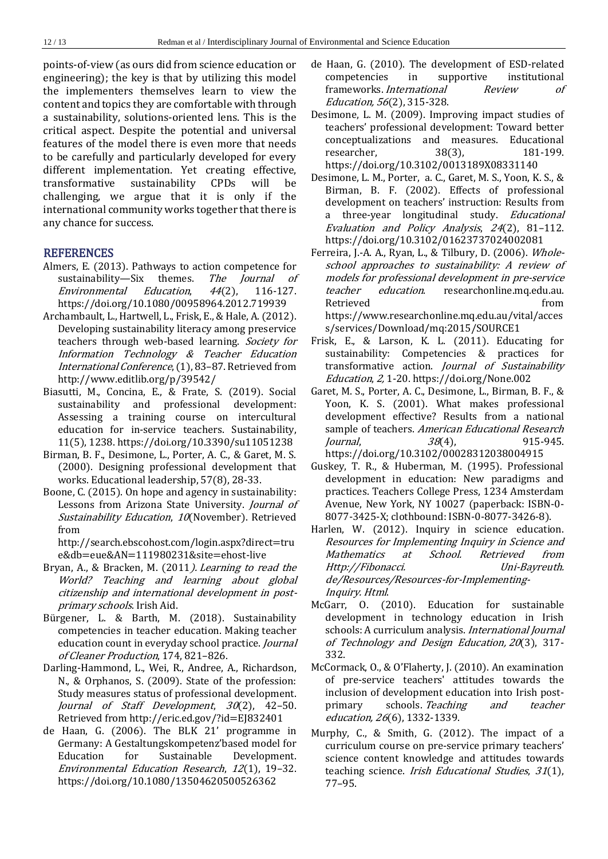points-of-view (as ours did from science education or engineering); the key is that by utilizing this model the implementers themselves learn to view the content and topics they are comfortable with through a sustainability, solutions-oriented lens. This is the critical aspect. Despite the potential and universal features of the model there is even more that needs to be carefully and particularly developed for every different implementation. Yet creating effective, transformative sustainability CPDs will be challenging, we argue that it is only if the international community works together that there is any chance for success.

# **REFERENCES**

- Almers, E. (2013). Pathways to action competence for sustainability—Six themes. The Journal of Environmental Education, 44(2), 116-127. https://doi.org/10.1080/00958964.2012.719939
- Archambault, L., Hartwell, L., Frisk, E., & Hale, A. (2012). Developing sustainability literacy among preservice teachers through web-based learning. Society for Information Technology & Teacher Education International Conference, (1), 83–87. Retrieved from http://www.editlib.org/p/39542/
- Biasutti, M., Concina, E., & Frate, S. (2019). Social sustainability and professional development: Assessing a training course on intercultural education for in-service teachers. Sustainability, 11(5), 1238. https://doi.org/10.3390/su11051238
- Birman, B. F., Desimone, L., Porter, A. C., & Garet, M. S. (2000). Designing professional development that works. Educational leadership, 57(8), 28-33.
- Boone, C. (2015). On hope and agency in sustainability: Lessons from Arizona State University. Journal of Sustainability Education, 10(November). Retrieved from

http://search.ebscohost.com/login.aspx?direct=tru e&db=eue&AN=111980231&site=ehost-live

- Bryan, A., & Bracken, M. (2011). Learning to read the World? Teaching and learning about global citizenship and international development in postprimary schools. Irish Aid.
- Bürgener, L. & Barth, M. (2018). Sustainability competencies in teacher education. Making teacher education count in everyday school practice. Journal of Cleaner Production, 174, 821–826.
- Darling-Hammond, L., Wei, R., Andree, A., Richardson, N., & Orphanos, S. (2009). State of the profession: Study measures status of professional development. Journal of Staff Development, 30(2), 42-50. Retrieved from http://eric.ed.gov/?id=EJ832401
- de Haan, G. (2006). The BLK 21' programme in Germany: A Gestaltungskompetenz'based model for Education for Sustainable Development. Environmental Education Research, 12(1), 19–32. https://doi.org/10.1080/13504620500526362
- de Haan, G. (2010). The development of ESD-related competencies in supportive institutional frameworks. International Review of Education, 56(2), 315-328.
- Desimone, L. M. (2009). Improving impact studies of teachers' professional development: Toward better conceptualizations and measures. Educational researcher, 38(3), 181-199. https://doi.org/10.3102/0013189X08331140
- Desimone, L. M., Porter, a. C., Garet, M. S., Yoon, K. S., & Birman, B. F. (2002). Effects of professional development on teachers' instruction: Results from a three-year longitudinal study. Educational Evaluation and Policy Analysis, 24(2), 81–112. https://doi.org/10.3102/01623737024002081
- Ferreira, J.-A. A., Ryan, L., & Tilbury, D. (2006). Wholeschool approaches to sustainability: A review of models for professional development in pre-service teacher education. researchonline.mq.edu.au. Retrieved from the set of the set of the set of the set of the set of the set of the set of the set of the set of the set of the set of the set of the set of the set of the set of the set of the set of the set of the set o https://www.researchonline.mq.edu.au/vital/acces s/services/Download/mq:2015/SOURCE1
- Frisk, E., & Larson, K. L. (2011). Educating for sustainability: Competencies & practices for transformative action. Journal of Sustainability Education, 2, 1-20. https://doi.org/None.002
- Garet, M. S., Porter, A. C., Desimone, L., Birman, B. F., & Yoon, K. S. (2001). What makes professional development effective? Results from a national sample of teachers. American Educational Research *Journal*, 38(4), 915-945. https://doi.org/10.3102/00028312038004915
- Guskey, T. R., & Huberman, M. (1995). Professional development in education: New paradigms and practices. Teachers College Press, 1234 Amsterdam Avenue, New York, NY 10027 (paperback: ISBN-0- 8077-3425-X; clothbound: ISBN-0-8077-3426-8).
- Harlen, W. (2012). Inquiry in science education. Resources for Implementing Inquiry in Science and Mathematics at School. Retrieved from Http://Fibonacci. Uni-Bayreuth. de/Resources/Resources-for-Implementing-Inquiry. Html.
- McGarr, O. (2010). Education for sustainable development in technology education in Irish schools: A curriculum analysis. International Journal of Technology and Design Education, <sup>20</sup>(3), 317- 332.
- McCormack, O., & O'Flaherty, J. (2010). An examination of pre-service teachers' attitudes towards the inclusion of development education into Irish postprimary schools. Teaching and teacher education, <sup>26</sup>(6), 1332-1339.
- Murphy, C., & Smith, G. (2012). The impact of a curriculum course on pre-service primary teachers' science content knowledge and attitudes towards teaching science. *Irish Educational Studies*, 31(1), 77–95.